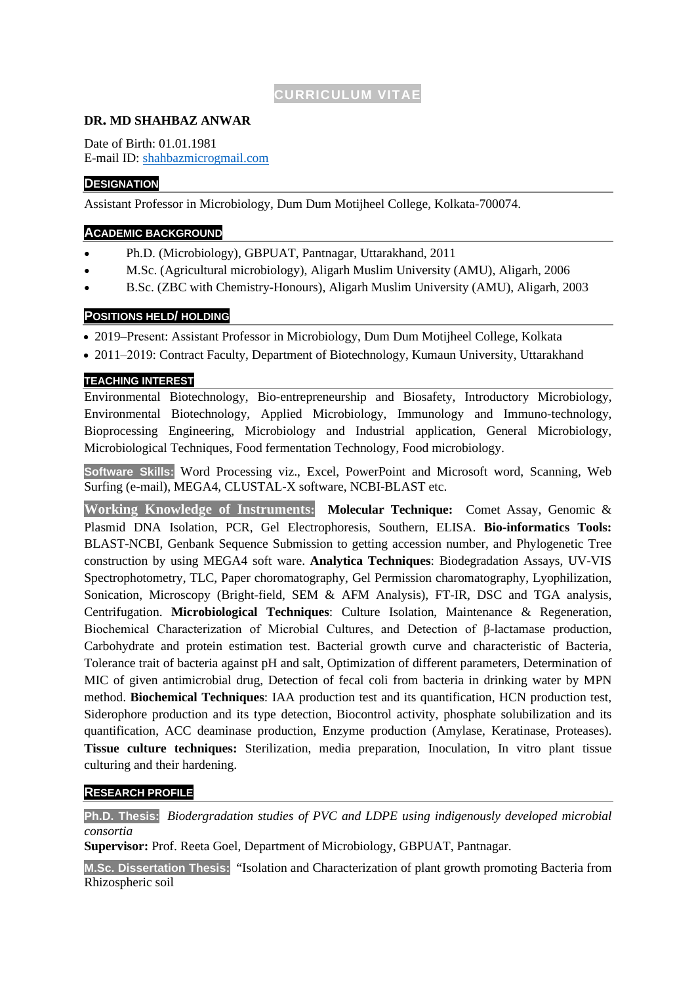# **CURRICULUM VITAE**

### **DR. MD SHAHBAZ ANWAR**

Date of Birth: 01.01.1981 E-mail ID: [shahbazmicrogmail.com](about:blank)

### **DESIGNATION**

Assistant Professor in Microbiology, Dum Dum Motijheel College, Kolkata-700074.

### **ACADEMIC BACKGROUND**

- Ph.D. (Microbiology), GBPUAT, Pantnagar, Uttarakhand, 2011
- M.Sc. (Agricultural microbiology), Aligarh Muslim University (AMU), Aligarh, 2006
- B.Sc. (ZBC with Chemistry-Honours), Aligarh Muslim University (AMU), Aligarh, 2003

### **POSITIONS HELD/ HOLDING**

- 2019–Present: Assistant Professor in Microbiology, Dum Dum Motijheel College, Kolkata
- 2011–2019: Contract Faculty, Department of Biotechnology, Kumaun University, Uttarakhand

### **TEACHING INTEREST**

Environmental Biotechnology, Bio-entrepreneurship and Biosafety, Introductory Microbiology, Environmental Biotechnology, Applied Microbiology, Immunology and Immuno-technology, Bioprocessing Engineering, Microbiology and Industrial application, General Microbiology, Microbiological Techniques, Food fermentation Technology, Food microbiology.

**Software Skills:** Word Processing viz., Excel, PowerPoint and Microsoft word, Scanning, Web Surfing (e-mail), MEGA4, CLUSTAL-X software, NCBI-BLAST etc.

**Working Knowledge of Instruments: Molecular Technique:** Comet Assay, Genomic & Plasmid DNA Isolation, PCR, Gel Electrophoresis, Southern, ELISA. **Bio-informatics Tools:** BLAST-NCBI, Genbank Sequence Submission to getting accession number, and Phylogenetic Tree construction by using MEGA4 soft ware. **Analytica Techniques**: Biodegradation Assays, UV-VIS Spectrophotometry, TLC, Paper choromatography, Gel Permission charomatography, Lyophilization, Sonication, Microscopy (Bright-field, SEM & AFM Analysis), FT-IR, DSC and TGA analysis, Centrifugation. **Microbiological Techniques**: Culture Isolation, Maintenance & Regeneration, Biochemical Characterization of Microbial Cultures, and Detection of β-lactamase production, Carbohydrate and protein estimation test. Bacterial growth curve and characteristic of Bacteria, Tolerance trait of bacteria against pH and salt, Optimization of different parameters, Determination of MIC of given antimicrobial drug, Detection of fecal coli from bacteria in drinking water by MPN method. **Biochemical Techniques**: IAA production test and its quantification, HCN production test, Siderophore production and its type detection, Biocontrol activity, phosphate solubilization and its quantification, ACC deaminase production, Enzyme production (Amylase, Keratinase, Proteases). **Tissue culture techniques:** Sterilization, media preparation, Inoculation, In vitro plant tissue culturing and their hardening.

## **RESEARCH PROFILE**

**Ph.D. Thesis:** *Biodergradation studies of PVC and LDPE using indigenously developed microbial consortia*

**Supervisor:** Prof. Reeta Goel, Department of Microbiology, GBPUAT, Pantnagar.

**M.Sc. Dissertation Thesis:** "Isolation and Characterization of plant growth promoting Bacteria from Rhizospheric soil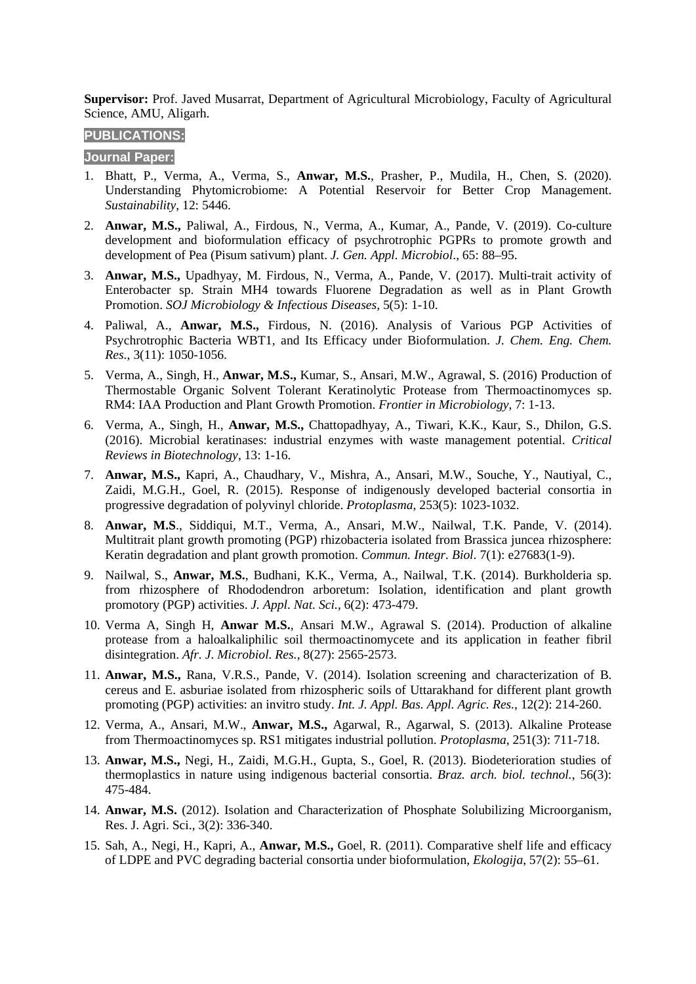**Supervisor:** Prof. Javed Musarrat, Department of Agricultural Microbiology, Faculty of Agricultural Science, AMU, Aligarh.

## **PUBLICATIONS:**

#### **Journal Paper:**

- 1. Bhatt, P., Verma, A., Verma, S., **Anwar, M.S.**, Prasher, P., Mudila, H., Chen, S. (2020). Understanding Phytomicrobiome: A Potential Reservoir for Better Crop Management. *Sustainability*, 12: 5446.
- 2. **Anwar, M.S.,** Paliwal, A., Firdous, N., Verma, A., Kumar, A., Pande, V. (2019). Co-culture development and bioformulation efficacy of psychrotrophic PGPRs to promote growth and development of Pea (Pisum sativum) plant. *J. Gen. Appl. Microbiol*., 65: 88–95.
- 3. **Anwar, M.S.,** Upadhyay, M. Firdous, N., Verma, A., Pande, V. (2017). Multi-trait activity of Enterobacter sp. Strain MH4 towards Fluorene Degradation as well as in Plant Growth Promotion. *SOJ Microbiology & Infectious Diseases,* 5(5): 1-10.
- 4. Paliwal, A., **Anwar, M.S.,** Firdous, N. (2016). Analysis of Various PGP Activities of Psychrotrophic Bacteria WBT1, and Its Efficacy under Bioformulation. *J. Chem. Eng. Chem. Res.*, 3(11): 1050-1056.
- 5. Verma, A., Singh, H., **Anwar, M.S.,** Kumar, S., Ansari, M.W., Agrawal, S. (2016) Production of Thermostable Organic Solvent Tolerant Keratinolytic Protease from Thermoactinomyces sp. RM4: IAA Production and Plant Growth Promotion. *Frontier in Microbiology*, 7: 1-13.
- 6. Verma, A., Singh, H., **Anwar, M.S.,** Chattopadhyay, A., Tiwari, K.K., Kaur, S., Dhilon, G.S. (2016). Microbial keratinases: industrial enzymes with waste management potential. *Critical Reviews in Biotechnology*, 13: 1-16.
- 7. **Anwar, M.S.,** Kapri, A., Chaudhary, V., Mishra, A., Ansari, M.W., Souche, Y., Nautiyal, C., Zaidi, M.G.H., Goel, R. (2015). Response of indigenously developed bacterial consortia in progressive degradation of polyvinyl chloride. *Protoplasma*, 253(5): 1023-1032.
- 8. **Anwar, M.S**., Siddiqui, M.T., Verma, A., Ansari, M.W., Nailwal, T.K. Pande, V. (2014). Multitrait plant growth promoting (PGP) rhizobacteria isolated from Brassica juncea rhizosphere: Keratin degradation and plant growth promotion. *Commun. Integr. Biol*. 7(1): e27683(1-9).
- 9. Nailwal, S., **Anwar, M.S.**, Budhani, K.K., Verma, A., Nailwal, T.K. (2014). Burkholderia sp. from rhizosphere of Rhododendron arboretum: Isolation, identification and plant growth promotory (PGP) activities. *J. Appl. Nat. Sci.*, 6(2): 473-479.
- 10. Verma A, Singh H, **Anwar M.S.**, Ansari M.W., Agrawal S. (2014). Production of alkaline protease from a haloalkaliphilic soil thermoactinomycete and its application in feather fibril disintegration. *Afr. J. Microbiol. Res.*, 8(27): 2565-2573.
- 11. **Anwar, M.S.,** Rana, V.R.S., Pande, V. (2014). Isolation screening and characterization of B. cereus and E. asburiae isolated from rhizospheric soils of Uttarakhand for different plant growth promoting (PGP) activities: an invitro study. *Int. J. Appl. Bas. Appl. Agric. Res.*, 12(2): 214-260.
- 12. Verma, A., Ansari, M.W., **Anwar, M.S.,** Agarwal, R., Agarwal, S. (2013). Alkaline Protease from Thermoactinomyces sp. RS1 mitigates industrial pollution. *Protoplasma*, 251(3): 711-718.
- 13. **Anwar, M.S.,** Negi, H., Zaidi, M.G.H., Gupta, S., Goel, R. (2013). Biodeterioration studies of thermoplastics in nature using indigenous bacterial consortia. *Braz. arch. biol. technol.*, 56(3): 475-484.
- 14. **Anwar, M.S.** (2012). Isolation and Characterization of Phosphate Solubilizing Microorganism, Res. J. Agri. Sci., 3(2): 336-340.
- 15. Sah, A., Negi, H., Kapri, A., **Anwar, M.S.,** Goel, R. (2011). Comparative shelf life and efficacy of LDPE and PVC degrading bacterial consortia under bioformulation, *Ekologija*, 57(2): 55–61.